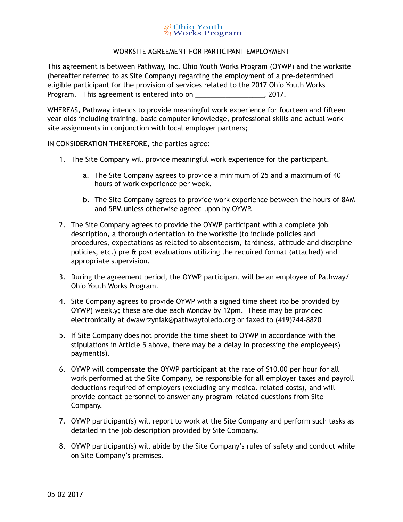## ु¥ Ohio Youth<br>ॐ Works Program

## WORKSITE AGREEMENT FOR PARTICIPANT EMPLOYMENT

This agreement is between Pathway, Inc. Ohio Youth Works Program (OYWP) and the worksite (hereafter referred to as Site Company) regarding the employment of a pre-determined eligible participant for the provision of services related to the 2017 Ohio Youth Works Program. This agreement is entered into on \_\_\_\_\_\_\_\_\_\_\_\_\_\_\_\_\_\_\_\_, 2017.

WHEREAS, Pathway intends to provide meaningful work experience for fourteen and fifteen year olds including training, basic computer knowledge, professional skills and actual work site assignments in conjunction with local employer partners;

IN CONSIDERATION THEREFORE, the parties agree:

- 1. The Site Company will provide meaningful work experience for the participant.
	- a. The Site Company agrees to provide a minimum of 25 and a maximum of 40 hours of work experience per week.
	- b. The Site Company agrees to provide work experience between the hours of 8AM and 5PM unless otherwise agreed upon by OYWP.
- 2. The Site Company agrees to provide the OYWP participant with a complete job description, a thorough orientation to the worksite (to include policies and procedures, expectations as related to absenteeism, tardiness, attitude and discipline policies, etc.) pre & post evaluations utilizing the required format (attached) and appropriate supervision.
- 3. During the agreement period, the OYWP participant will be an employee of Pathway/ Ohio Youth Works Program.
- 4. Site Company agrees to provide OYWP with a signed time sheet (to be provided by OYWP) weekly; these are due each Monday by 12pm. These may be provided electronically at dwawrzyniak@pathwaytoledo.org or faxed to (419)244-8820
- 5. If Site Company does not provide the time sheet to OYWP in accordance with the stipulations in Article 5 above, there may be a delay in processing the employee(s) payment(s).
- 6. OYWP will compensate the OYWP participant at the rate of \$10.00 per hour for all work performed at the Site Company, be responsible for all employer taxes and payroll deductions required of employers (excluding any medical-related costs), and will provide contact personnel to answer any program-related questions from Site Company.
- 7. OYWP participant(s) will report to work at the Site Company and perform such tasks as detailed in the job description provided by Site Company.
- 8. OYWP participant(s) will abide by the Site Company's rules of safety and conduct while on Site Company's premises.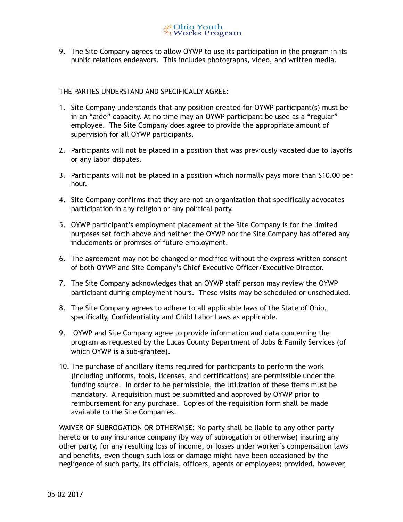9. The Site Company agrees to allow OYWP to use its participation in the program in its public relations endeavors. This includes photographs, video, and written media.

## THE PARTIES UNDERSTAND AND SPECIFICALLY AGREE:

- 1. Site Company understands that any position created for OYWP participant(s) must be in an "aide" capacity. At no time may an OYWP participant be used as a "regular" employee. The Site Company does agree to provide the appropriate amount of supervision for all OYWP participants.
- 2. Participants will not be placed in a position that was previously vacated due to layoffs or any labor disputes.
- 3. Participants will not be placed in a position which normally pays more than \$10.00 per hour.
- 4. Site Company confirms that they are not an organization that specifically advocates participation in any religion or any political party.
- 5. OYWP participant's employment placement at the Site Company is for the limited purposes set forth above and neither the OYWP nor the Site Company has offered any inducements or promises of future employment.
- 6. The agreement may not be changed or modified without the express written consent of both OYWP and Site Company's Chief Executive Officer/Executive Director.
- 7. The Site Company acknowledges that an OYWP staff person may review the OYWP participant during employment hours. These visits may be scheduled or unscheduled.
- 8. The Site Company agrees to adhere to all applicable laws of the State of Ohio, specifically, Confidentiality and Child Labor Laws as applicable.
- 9. OYWP and Site Company agree to provide information and data concerning the program as requested by the Lucas County Department of Jobs & Family Services (of which OYWP is a sub-grantee).
- 10. The purchase of ancillary items required for participants to perform the work (including uniforms, tools, licenses, and certifications) are permissible under the funding source. In order to be permissible, the utilization of these items must be mandatory. A requisition must be submitted and approved by OYWP prior to reimbursement for any purchase. Copies of the requisition form shall be made available to the Site Companies.

WAIVER OF SUBROGATION OR OTHERWISE: No party shall be liable to any other party hereto or to any insurance company (by way of subrogation or otherwise) insuring any other party, for any resulting loss of income, or losses under worker's compensation laws and benefits, even though such loss or damage might have been occasioned by the negligence of such party, its officials, officers, agents or employees; provided, however,